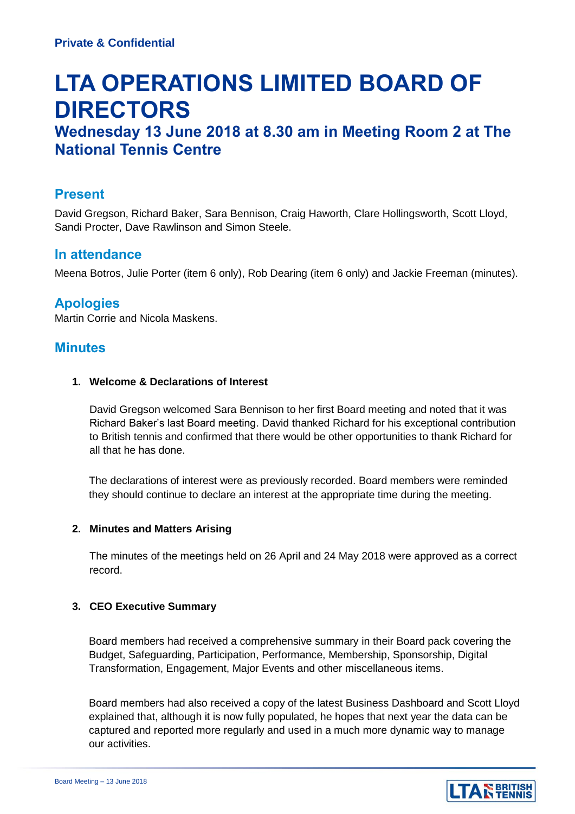# **LTA OPERATIONS LIMITED BOARD OF DIRECTORS**

# **Wednesday 13 June 2018 at 8.30 am in Meeting Room 2 at The National Tennis Centre**

## **Present**

David Gregson, Richard Baker, Sara Bennison, Craig Haworth, Clare Hollingsworth, Scott Lloyd, Sandi Procter, Dave Rawlinson and Simon Steele.

## **In attendance**

Meena Botros, Julie Porter (item 6 only), Rob Dearing (item 6 only) and Jackie Freeman (minutes).

# **Apologies**

Martin Corrie and Nicola Maskens.

# **Minutes**

#### **1. Welcome & Declarations of Interest**

David Gregson welcomed Sara Bennison to her first Board meeting and noted that it was Richard Baker's last Board meeting. David thanked Richard for his exceptional contribution to British tennis and confirmed that there would be other opportunities to thank Richard for all that he has done.

The declarations of interest were as previously recorded. Board members were reminded they should continue to declare an interest at the appropriate time during the meeting.

#### **2. Minutes and Matters Arising**

The minutes of the meetings held on 26 April and 24 May 2018 were approved as a correct record.

#### **3. CEO Executive Summary**

Board members had received a comprehensive summary in their Board pack covering the Budget, Safeguarding, Participation, Performance, Membership, Sponsorship, Digital Transformation, Engagement, Major Events and other miscellaneous items.

Board members had also received a copy of the latest Business Dashboard and Scott Lloyd explained that, although it is now fully populated, he hopes that next year the data can be captured and reported more regularly and used in a much more dynamic way to manage our activities.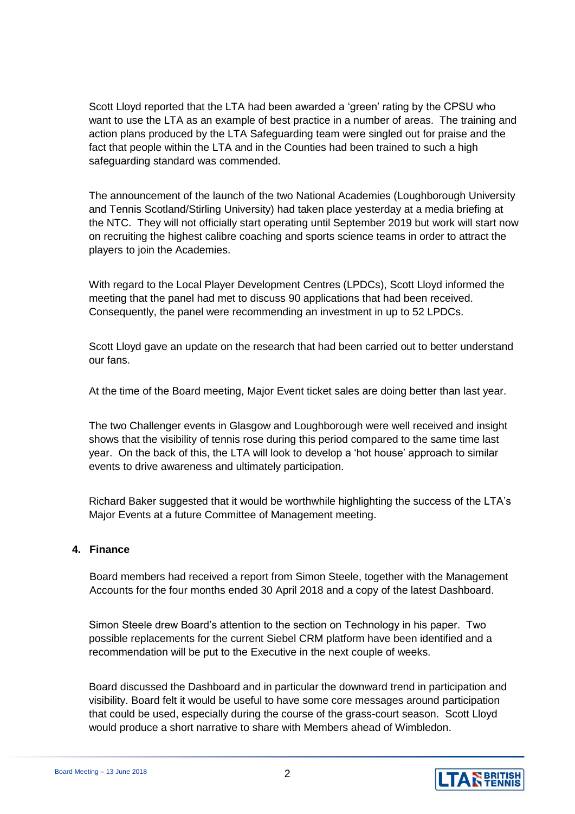Scott Lloyd reported that the LTA had been awarded a 'green' rating by the CPSU who want to use the LTA as an example of best practice in a number of areas. The training and action plans produced by the LTA Safeguarding team were singled out for praise and the fact that people within the LTA and in the Counties had been trained to such a high safeguarding standard was commended.

The announcement of the launch of the two National Academies (Loughborough University and Tennis Scotland/Stirling University) had taken place yesterday at a media briefing at the NTC. They will not officially start operating until September 2019 but work will start now on recruiting the highest calibre coaching and sports science teams in order to attract the players to join the Academies.

With regard to the Local Player Development Centres (LPDCs), Scott Lloyd informed the meeting that the panel had met to discuss 90 applications that had been received. Consequently, the panel were recommending an investment in up to 52 LPDCs.

Scott Lloyd gave an update on the research that had been carried out to better understand our fans.

At the time of the Board meeting, Major Event ticket sales are doing better than last year.

The two Challenger events in Glasgow and Loughborough were well received and insight shows that the visibility of tennis rose during this period compared to the same time last year. On the back of this, the LTA will look to develop a 'hot house' approach to similar events to drive awareness and ultimately participation.

Richard Baker suggested that it would be worthwhile highlighting the success of the LTA's Major Events at a future Committee of Management meeting.

#### **4. Finance**

Board members had received a report from Simon Steele, together with the Management Accounts for the four months ended 30 April 2018 and a copy of the latest Dashboard.

Simon Steele drew Board's attention to the section on Technology in his paper. Two possible replacements for the current Siebel CRM platform have been identified and a recommendation will be put to the Executive in the next couple of weeks.

Board discussed the Dashboard and in particular the downward trend in participation and visibility. Board felt it would be useful to have some core messages around participation that could be used, especially during the course of the grass-court season. Scott Lloyd would produce a short narrative to share with Members ahead of Wimbledon.

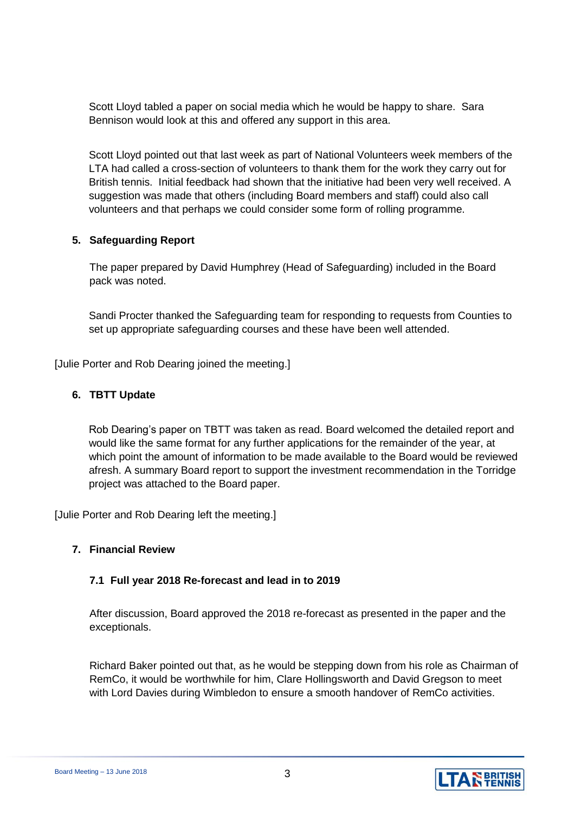Scott Lloyd tabled a paper on social media which he would be happy to share. Sara Bennison would look at this and offered any support in this area.

Scott Lloyd pointed out that last week as part of National Volunteers week members of the LTA had called a cross-section of volunteers to thank them for the work they carry out for British tennis. Initial feedback had shown that the initiative had been very well received. A suggestion was made that others (including Board members and staff) could also call volunteers and that perhaps we could consider some form of rolling programme.

#### **5. Safeguarding Report**

The paper prepared by David Humphrey (Head of Safeguarding) included in the Board pack was noted.

Sandi Procter thanked the Safeguarding team for responding to requests from Counties to set up appropriate safeguarding courses and these have been well attended.

[Julie Porter and Rob Dearing joined the meeting.]

#### **6. TBTT Update**

Rob Dearing's paper on TBTT was taken as read. Board welcomed the detailed report and would like the same format for any further applications for the remainder of the year, at which point the amount of information to be made available to the Board would be reviewed afresh. A summary Board report to support the investment recommendation in the Torridge project was attached to the Board paper.

[Julie Porter and Rob Dearing left the meeting.]

#### **7. Financial Review**

#### **7.1 Full year 2018 Re-forecast and lead in to 2019**

After discussion, Board approved the 2018 re-forecast as presented in the paper and the exceptionals.

Richard Baker pointed out that, as he would be stepping down from his role as Chairman of RemCo, it would be worthwhile for him, Clare Hollingsworth and David Gregson to meet with Lord Davies during Wimbledon to ensure a smooth handover of RemCo activities.

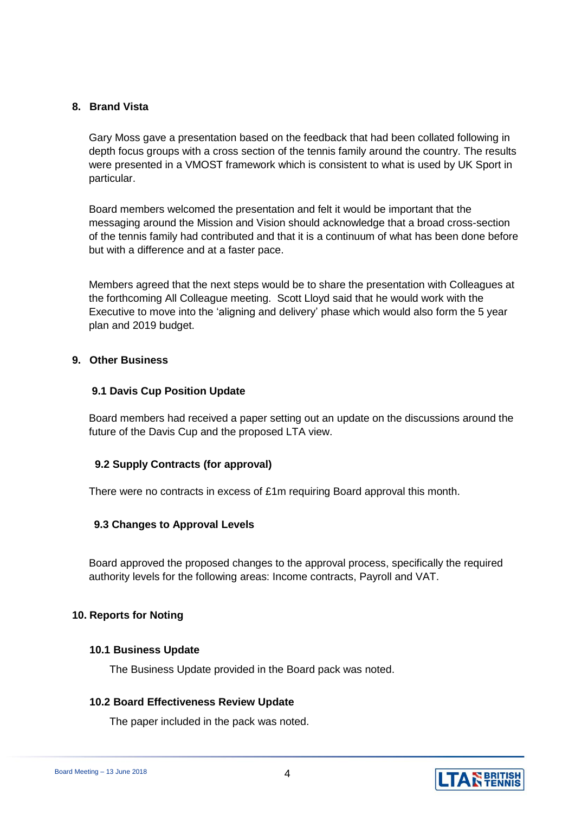#### **8. Brand Vista**

Gary Moss gave a presentation based on the feedback that had been collated following in depth focus groups with a cross section of the tennis family around the country. The results were presented in a VMOST framework which is consistent to what is used by UK Sport in particular.

Board members welcomed the presentation and felt it would be important that the messaging around the Mission and Vision should acknowledge that a broad cross-section of the tennis family had contributed and that it is a continuum of what has been done before but with a difference and at a faster pace.

Members agreed that the next steps would be to share the presentation with Colleagues at the forthcoming All Colleague meeting. Scott Lloyd said that he would work with the Executive to move into the 'aligning and delivery' phase which would also form the 5 year plan and 2019 budget.

#### **9. Other Business**

#### **9.1 Davis Cup Position Update**

Board members had received a paper setting out an update on the discussions around the future of the Davis Cup and the proposed LTA view.

#### **9.2 Supply Contracts (for approval)**

There were no contracts in excess of £1m requiring Board approval this month.

#### **9.3 Changes to Approval Levels**

Board approved the proposed changes to the approval process, specifically the required authority levels for the following areas: Income contracts, Payroll and VAT.

#### **10. Reports for Noting**

#### **10.1 Business Update**

The Business Update provided in the Board pack was noted.

#### **10.2 Board Effectiveness Review Update**

The paper included in the pack was noted.

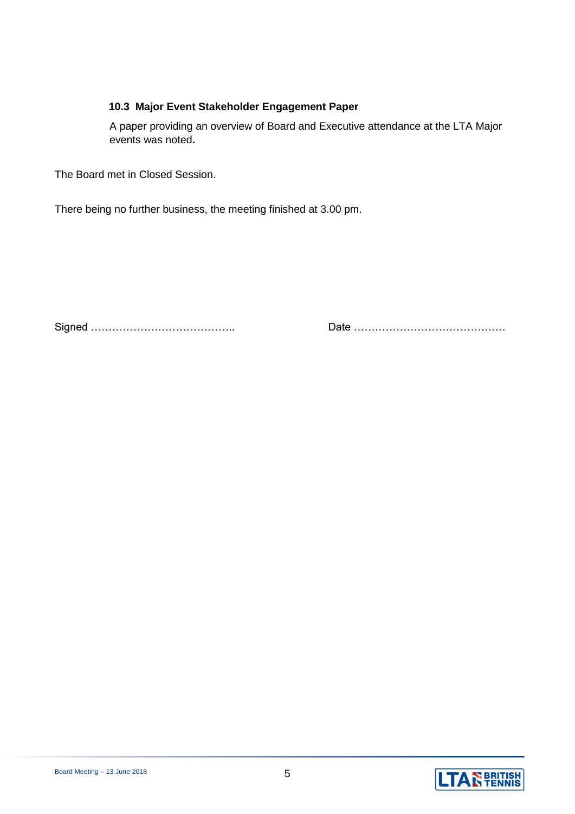#### **10.3 Major Event Stakeholder Engagement Paper**

A paper providing an overview of Board and Executive attendance at the LTA Major events was noted**.**

The Board met in Closed Session.

There being no further business, the meeting finished at 3.00 pm.

Signed ………………………………….. Date …………………………………….

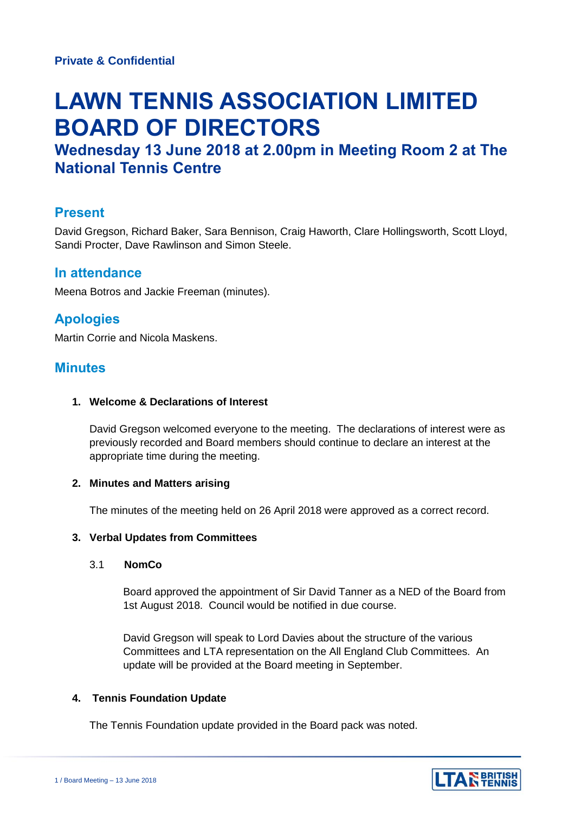# **LAWN TENNIS ASSOCIATION LIMITED BOARD OF DIRECTORS**

# **Wednesday 13 June 2018 at 2.00pm in Meeting Room 2 at The National Tennis Centre**

# **Present**

David Gregson, Richard Baker, Sara Bennison, Craig Haworth, Clare Hollingsworth, Scott Lloyd, Sandi Procter, Dave Rawlinson and Simon Steele.

### **In attendance**

Meena Botros and Jackie Freeman (minutes).

# **Apologies**

Martin Corrie and Nicola Maskens.

## **Minutes**

#### **1. Welcome & Declarations of Interest**

David Gregson welcomed everyone to the meeting. The declarations of interest were as previously recorded and Board members should continue to declare an interest at the appropriate time during the meeting.

#### **2. Minutes and Matters arising**

The minutes of the meeting held on 26 April 2018 were approved as a correct record.

#### **3. Verbal Updates from Committees**

#### 3.1 **NomCo**

Board approved the appointment of Sir David Tanner as a NED of the Board from 1st August 2018. Council would be notified in due course.

David Gregson will speak to Lord Davies about the structure of the various Committees and LTA representation on the All England Club Committees. An update will be provided at the Board meeting in September.

#### **4. Tennis Foundation Update**

The Tennis Foundation update provided in the Board pack was noted.